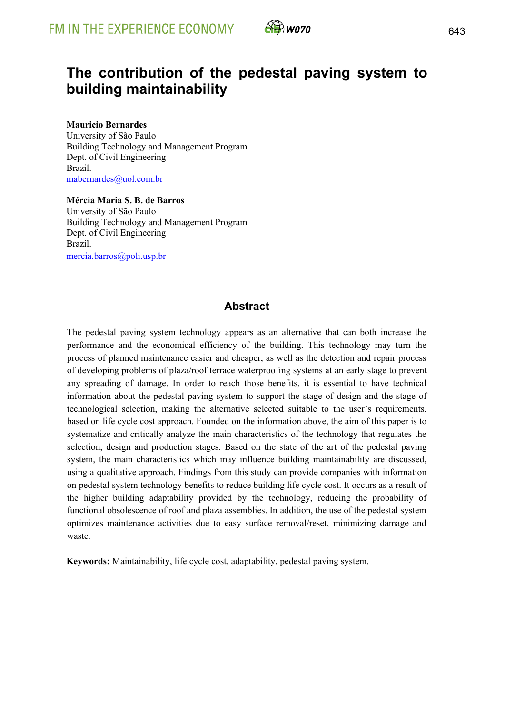

# **The contribution of the pedestal paving system to building maintainability**

#### **Mauricio Bernardes**

University of São Paulo Building Technology and Management Program Dept. of Civil Engineering Brazil. mabernardes@uol.com.br

**Mércia Maria S. B. de Barros** University of São Paulo Building Technology and Management Program Dept. of Civil Engineering Brazil. mercia.barros@poli.usp.br

### **Abstract**

The pedestal paving system technology appears as an alternative that can both increase the performance and the economical efficiency of the building. This technology may turn the process of planned maintenance easier and cheaper, as well as the detection and repair process of developing problems of plaza/roof terrace waterproofing systems at an early stage to prevent any spreading of damage. In order to reach those benefits, it is essential to have technical information about the pedestal paving system to support the stage of design and the stage of technological selection, making the alternative selected suitable to the user's requirements, based on life cycle cost approach. Founded on the information above, the aim of this paper is to systematize and critically analyze the main characteristics of the technology that regulates the selection, design and production stages. Based on the state of the art of the pedestal paving system, the main characteristics which may influence building maintainability are discussed, using a qualitative approach. Findings from this study can provide companies with information on pedestal system technology benefits to reduce building life cycle cost. It occurs as a result of the higher building adaptability provided by the technology, reducing the probability of functional obsolescence of roof and plaza assemblies. In addition, the use of the pedestal system optimizes maintenance activities due to easy surface removal/reset, minimizing damage and waste.

**Keywords:** Maintainability, life cycle cost, adaptability, pedestal paving system.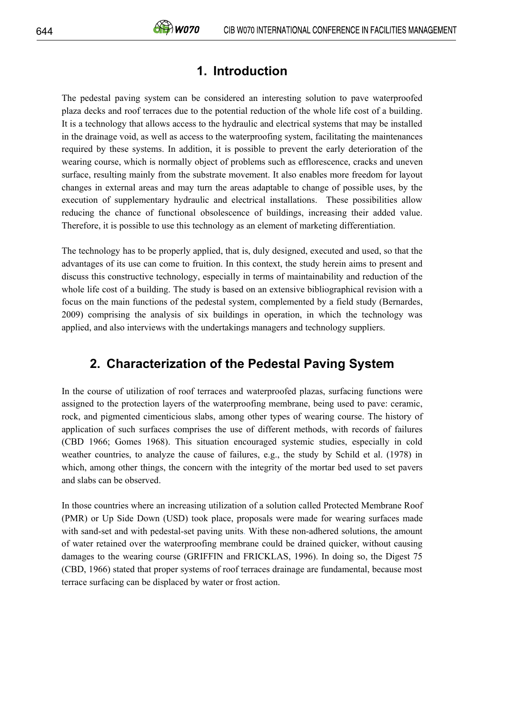## **1. Introduction**

The pedestal paving system can be considered an interesting solution to pave waterproofed plaza decks and roof terraces due to the potential reduction of the whole life cost of a building. It is a technology that allows access to the hydraulic and electrical systems that may be installed in the drainage void, as well as access to the waterproofing system, facilitating the maintenances required by these systems. In addition, it is possible to prevent the early deterioration of the wearing course, which is normally object of problems such as efflorescence, cracks and uneven surface, resulting mainly from the substrate movement. It also enables more freedom for layout changes in external areas and may turn the areas adaptable to change of possible uses, by the execution of supplementary hydraulic and electrical installations. These possibilities allow reducing the chance of functional obsolescence of buildings, increasing their added value. Therefore, it is possible to use this technology as an element of marketing differentiation.

The technology has to be properly applied, that is, duly designed, executed and used, so that the advantages of its use can come to fruition. In this context, the study herein aims to present and discuss this constructive technology, especially in terms of maintainability and reduction of the whole life cost of a building. The study is based on an extensive bibliographical revision with a focus on the main functions of the pedestal system, complemented by a field study (Bernardes, 2009) comprising the analysis of six buildings in operation, in which the technology was applied, and also interviews with the undertakings managers and technology suppliers.

# **2. Characterization of the Pedestal Paving System**

In the course of utilization of roof terraces and waterproofed plazas, surfacing functions were assigned to the protection layers of the waterproofing membrane, being used to pave: ceramic, rock, and pigmented cimenticious slabs, among other types of wearing course. The history of application of such surfaces comprises the use of different methods, with records of failures (CBD 1966; Gomes 1968). This situation encouraged systemic studies, especially in cold weather countries, to analyze the cause of failures, e.g., the study by Schild et al. (1978) in which, among other things, the concern with the integrity of the mortar bed used to set pavers and slabs can be observed.

In those countries where an increasing utilization of a solution called Protected Membrane Roof (PMR) or Up Side Down (USD) took place, proposals were made for wearing surfaces made with sand-set and with pedestal-set paving units. With these non-adhered solutions, the amount of water retained over the waterproofing membrane could be drained quicker, without causing damages to the wearing course (GRIFFIN and FRICKLAS, 1996). In doing so, the Digest 75 (CBD, 1966) stated that proper systems of roof terraces drainage are fundamental, because most terrace surfacing can be displaced by water or frost action.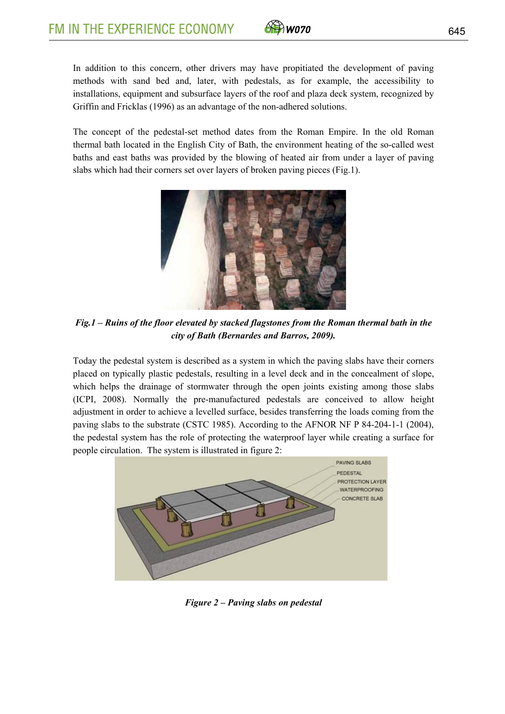

In addition to this concern, other drivers may have propitiated the development of paving methods with sand bed and, later, with pedestals, as for example, the accessibility to installations, equipment and subsurface layers of the roof and plaza deck system, recognized by Griffin and Fricklas (1996) as an advantage of the non-adhered solutions.

The concept of the pedestal-set method dates from the Roman Empire. In the old Roman thermal bath located in the English City of Bath, the environment heating of the so-called west baths and east baths was provided by the blowing of heated air from under a layer of paving slabs which had their corners set over layers of broken paving pieces (Fig.1).



*Fig.1 – Ruins of the floor elevated by stacked flagstones from the Roman thermal bath in the city of Bath (Bernardes and Barros, 2009).*

Today the pedestal system is described as a system in which the paving slabs have their corners placed on typically plastic pedestals, resulting in a level deck and in the concealment of slope, which helps the drainage of stormwater through the open joints existing among those slabs (ICPI, 2008). Normally the pre-manufactured pedestals are conceived to allow height adjustment in order to achieve a levelled surface, besides transferring the loads coming from the paving slabs to the substrate (CSTC 1985). According to the AFNOR NF P 84-204-1-1 (2004), the pedestal system has the role of protecting the waterproof layer while creating a surface for people circulation. The system is illustrated in figure 2:



*Figure 2 – Paving slabs on pedestal*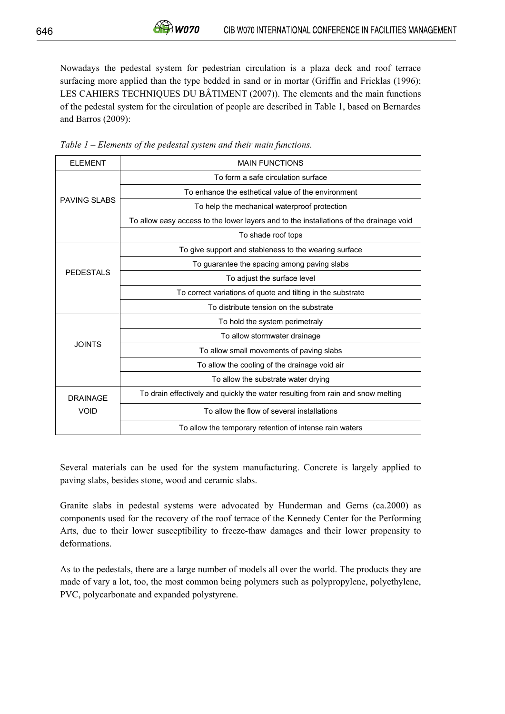Nowadays the pedestal system for pedestrian circulation is a plaza deck and roof terrace surfacing more applied than the type bedded in sand or in mortar (Griffin and Fricklas (1996); LES CAHIERS TECHNIQUES DU BÂTIMENT (2007)). The elements and the main functions of the pedestal system for the circulation of people are described in Table 1, based on Bernardes and Barros (2009):

| <b>FI FMFNT</b>                | <b>MAIN FUNCTIONS</b>                                                                  |
|--------------------------------|----------------------------------------------------------------------------------------|
| <b>PAVING SI ABS</b>           | To form a safe circulation surface                                                     |
|                                | To enhance the esthetical value of the environment                                     |
|                                | To help the mechanical waterproof protection                                           |
|                                | To allow easy access to the lower layers and to the installations of the drainage void |
|                                | To shade roof tops                                                                     |
| <b>PEDESTALS</b>               | To give support and stableness to the wearing surface                                  |
|                                | To guarantee the spacing among paving slabs                                            |
|                                | To adjust the surface level                                                            |
|                                | To correct variations of quote and tilting in the substrate                            |
|                                | To distribute tension on the substrate                                                 |
| <b>JOINTS</b>                  | To hold the system perimetraly                                                         |
|                                | To allow stormwater drainage                                                           |
|                                | To allow small movements of paving slabs                                               |
|                                | To allow the cooling of the drainage void air                                          |
|                                | To allow the substrate water drying                                                    |
| <b>DRAINAGF</b><br><b>VOID</b> | To drain effectively and quickly the water resulting from rain and snow melting        |
|                                | To allow the flow of several installations                                             |
|                                | To allow the temporary retention of intense rain waters                                |

*Table 1 – Elements of the pedestal system and their main functions.* 

 $\hat{\theta}$ W070

Several materials can be used for the system manufacturing. Concrete is largely applied to paving slabs, besides stone, wood and ceramic slabs.

Granite slabs in pedestal systems were advocated by Hunderman and Gerns (ca.2000) as components used for the recovery of the roof terrace of the Kennedy Center for the Performing Arts, due to their lower susceptibility to freeze-thaw damages and their lower propensity to deformations.

As to the pedestals, there are a large number of models all over the world. The products they are made of vary a lot, too, the most common being polymers such as polypropylene, polyethylene, PVC, polycarbonate and expanded polystyrene.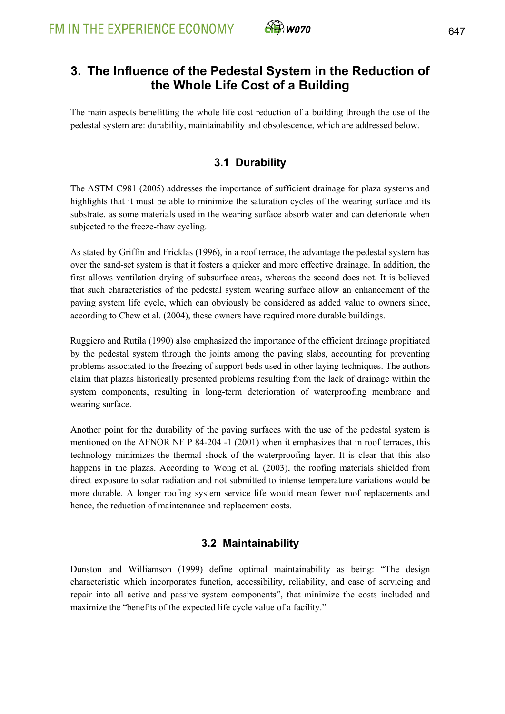

## **3. The Influence of the Pedestal System in the Reduction of the Whole Life Cost of a Building**

The main aspects benefitting the whole life cost reduction of a building through the use of the pedestal system are: durability, maintainability and obsolescence, which are addressed below.

## **3.1 Durability**

The ASTM C981 (2005) addresses the importance of sufficient drainage for plaza systems and highlights that it must be able to minimize the saturation cycles of the wearing surface and its substrate, as some materials used in the wearing surface absorb water and can deteriorate when subjected to the freeze-thaw cycling.

As stated by Griffin and Fricklas (1996), in a roof terrace, the advantage the pedestal system has over the sand-set system is that it fosters a quicker and more effective drainage. In addition, the first allows ventilation drying of subsurface areas, whereas the second does not. It is believed that such characteristics of the pedestal system wearing surface allow an enhancement of the paving system life cycle, which can obviously be considered as added value to owners since, according to Chew et al. (2004), these owners have required more durable buildings.

Ruggiero and Rutila (1990) also emphasized the importance of the efficient drainage propitiated by the pedestal system through the joints among the paving slabs, accounting for preventing problems associated to the freezing of support beds used in other laying techniques. The authors claim that plazas historically presented problems resulting from the lack of drainage within the system components, resulting in long-term deterioration of waterproofing membrane and wearing surface.

Another point for the durability of the paving surfaces with the use of the pedestal system is mentioned on the AFNOR NF P 84-204 -1 (2001) when it emphasizes that in roof terraces, this technology minimizes the thermal shock of the waterproofing layer. It is clear that this also happens in the plazas. According to Wong et al. (2003), the roofing materials shielded from direct exposure to solar radiation and not submitted to intense temperature variations would be more durable. A longer roofing system service life would mean fewer roof replacements and hence, the reduction of maintenance and replacement costs.

### **3.2 Maintainability**

Dunston and Williamson (1999) define optimal maintainability as being: "The design characteristic which incorporates function, accessibility, reliability, and ease of servicing and repair into all active and passive system components", that minimize the costs included and maximize the "benefits of the expected life cycle value of a facility."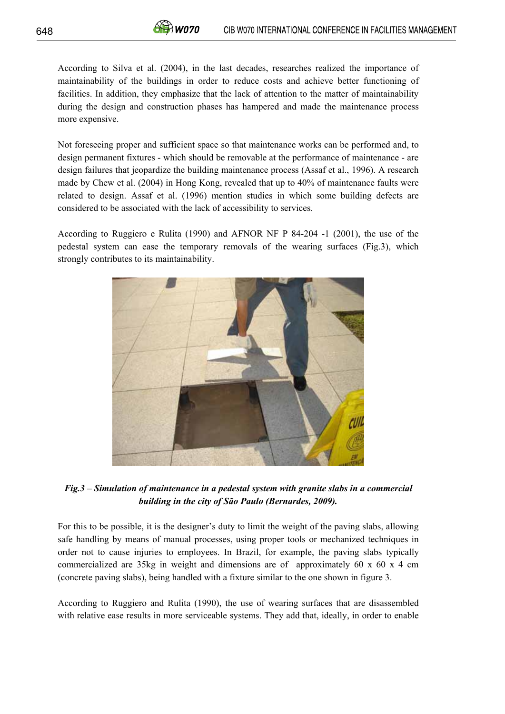According to Silva et al. (2004), in the last decades, researches realized the importance of maintainability of the buildings in order to reduce costs and achieve better functioning of facilities. In addition, they emphasize that the lack of attention to the matter of maintainability during the design and construction phases has hampered and made the maintenance process more expensive.

Not foreseeing proper and sufficient space so that maintenance works can be performed and, to design permanent fixtures - which should be removable at the performance of maintenance - are design failures that jeopardize the building maintenance process (Assaf et al., 1996). A research made by Chew et al. (2004) in Hong Kong, revealed that up to 40% of maintenance faults were related to design. Assaf et al. (1996) mention studies in which some building defects are considered to be associated with the lack of accessibility to services.

According to Ruggiero e Rulita (1990) and AFNOR NF P 84-204 -1 (2001), the use of the pedestal system can ease the temporary removals of the wearing surfaces (Fig.3), which strongly contributes to its maintainability.



*Fig.3 – Simulation of maintenance in a pedestal system with granite slabs in a commercial building in the city of São Paulo (Bernardes, 2009).* 

For this to be possible, it is the designer's duty to limit the weight of the paving slabs, allowing safe handling by means of manual processes, using proper tools or mechanized techniques in order not to cause injuries to employees. In Brazil, for example, the paving slabs typically commercialized are 35kg in weight and dimensions are of approximately 60 x 60 x 4 cm (concrete paving slabs), being handled with a fixture similar to the one shown in figure 3.

According to Ruggiero and Rulita (1990), the use of wearing surfaces that are disassembled with relative ease results in more serviceable systems. They add that, ideally, in order to enable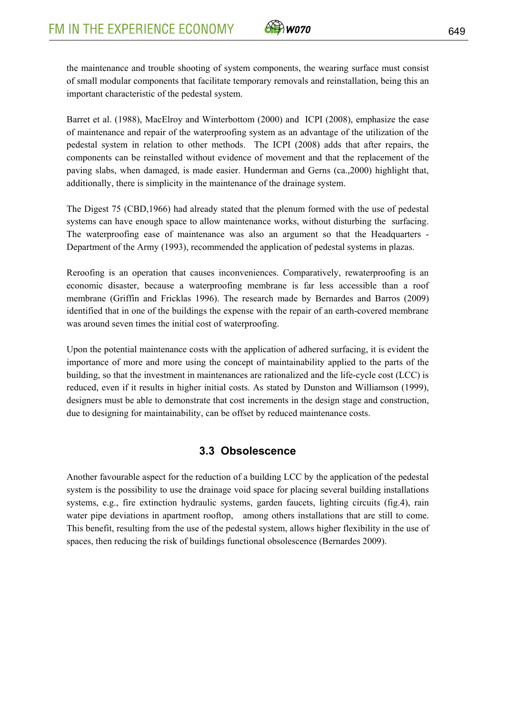

the maintenance and trouble shooting of system components, the wearing surface must consist of small modular components that facilitate temporary removals and reinstallation, being this an important characteristic of the pedestal system.

Barret et al. (1988), MacElroy and Winterbottom (2000) and ICPI (2008), emphasize the ease of maintenance and repair of the waterproofing system as an advantage of the utilization of the pedestal system in relation to other methods. The ICPI (2008) adds that after repairs, the components can be reinstalled without evidence of movement and that the replacement of the paving slabs, when damaged, is made easier. Hunderman and Gerns (ca.,2000) highlight that, additionally, there is simplicity in the maintenance of the drainage system.

The Digest 75 (CBD,1966) had already stated that the plenum formed with the use of pedestal systems can have enough space to allow maintenance works, without disturbing the surfacing. The waterproofing ease of maintenance was also an argument so that the Headquarters - Department of the Army (1993), recommended the application of pedestal systems in plazas.

Reroofing is an operation that causes inconveniences. Comparatively, rewaterproofing is an economic disaster, because a waterproofing membrane is far less accessible than a roof membrane (Griffin and Fricklas 1996). The research made by Bernardes and Barros (2009) identified that in one of the buildings the expense with the repair of an earth-covered membrane was around seven times the initial cost of waterproofing.

Upon the potential maintenance costs with the application of adhered surfacing, it is evident the importance of more and more using the concept of maintainability applied to the parts of the building, so that the investment in maintenances are rationalized and the life-cycle cost (LCC) is reduced, even if it results in higher initial costs. As stated by Dunston and Williamson (1999), designers must be able to demonstrate that cost increments in the design stage and construction, due to designing for maintainability, can be offset by reduced maintenance costs.

#### **3.3 Obsolescence**

Another favourable aspect for the reduction of a building LCC by the application of the pedestal system is the possibility to use the drainage void space for placing several building installations systems, e.g., fire extinction hydraulic systems, garden faucets, lighting circuits (fig.4), rain water pipe deviations in apartment rooftop, among others installations that are still to come. This benefit, resulting from the use of the pedestal system, allows higher flexibility in the use of spaces, then reducing the risk of buildings functional obsolescence (Bernardes 2009).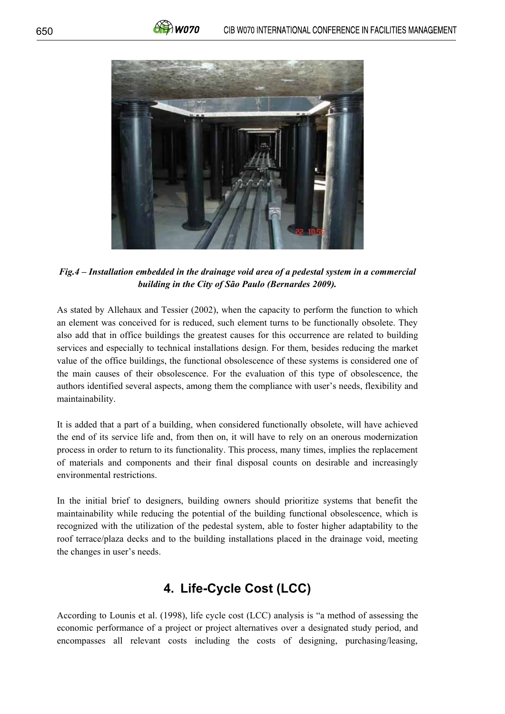

*Fig.4 – Installation embedded in the drainage void area of a pedestal system in a commercial building in the City of São Paulo (Bernardes 2009).* 

As stated by Allehaux and Tessier (2002), when the capacity to perform the function to which an element was conceived for is reduced, such element turns to be functionally obsolete. They also add that in office buildings the greatest causes for this occurrence are related to building services and especially to technical installations design. For them, besides reducing the market value of the office buildings, the functional obsolescence of these systems is considered one of the main causes of their obsolescence. For the evaluation of this type of obsolescence, the authors identified several aspects, among them the compliance with user's needs, flexibility and maintainability.

It is added that a part of a building, when considered functionally obsolete, will have achieved the end of its service life and, from then on, it will have to rely on an onerous modernization process in order to return to its functionality. This process, many times, implies the replacement of materials and components and their final disposal counts on desirable and increasingly environmental restrictions.

In the initial brief to designers, building owners should prioritize systems that benefit the maintainability while reducing the potential of the building functional obsolescence, which is recognized with the utilization of the pedestal system, able to foster higher adaptability to the roof terrace/plaza decks and to the building installations placed in the drainage void, meeting the changes in user's needs.

# **4. Life-Cycle Cost (LCC)**

According to Lounis et al. (1998), life cycle cost (LCC) analysis is "a method of assessing the economic performance of a project or project alternatives over a designated study period, and encompasses all relevant costs including the costs of designing, purchasing/leasing,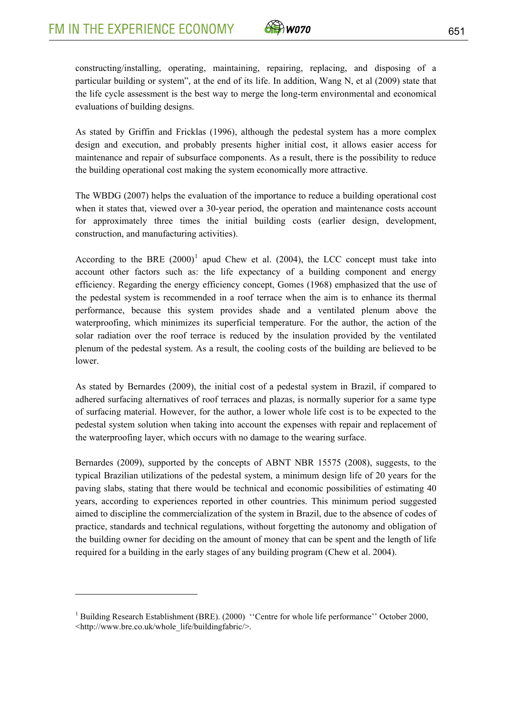<u>.</u>



constructing/installing, operating, maintaining, repairing, replacing, and disposing of a particular building or system", at the end of its life. In addition, Wang N, et al (2009) state that the life cycle assessment is the best way to merge the long-term environmental and economical evaluations of building designs.

As stated by Griffin and Fricklas (1996), although the pedestal system has a more complex design and execution, and probably presents higher initial cost, it allows easier access for maintenance and repair of subsurface components. As a result, there is the possibility to reduce the building operational cost making the system economically more attractive.

The WBDG (2007) helps the evaluation of the importance to reduce a building operational cost when it states that, viewed over a 30-year period, the operation and maintenance costs account for approximately three times the initial building costs (earlier design, development, construction, and manufacturing activities).

According to the BRE  $(2000)^1$  apud Chew et al. (2004), the LCC concept must take into account other factors such as: the life expectancy of a building component and energy efficiency. Regarding the energy efficiency concept, Gomes (1968) emphasized that the use of the pedestal system is recommended in a roof terrace when the aim is to enhance its thermal performance, because this system provides shade and a ventilated plenum above the waterproofing, which minimizes its superficial temperature. For the author, the action of the solar radiation over the roof terrace is reduced by the insulation provided by the ventilated plenum of the pedestal system. As a result, the cooling costs of the building are believed to be lower.

pedestal system solution when taking into account the expenses with repair and replacement of the waterproofing layer, which occurs with no damage to the wearing surface. As stated by Bernardes (2009), the initial cost of a pedestal system in Brazil, if compared to adhered surfacing alternatives of roof terraces and plazas, is normally superior for a same type of surfacing material. However, for the author, a lower whole life cost is to be expected to the

the building owner for deciding on the amount of money that can be spent and the length of life required for a building in the early stages of any building program (Chew et al. 2004). Bernardes (2009), supported by the concepts of ABNT NBR 15575 (2008), suggests, to the typical Brazilian utilizations of the pedestal system, a minimum design life of 20 years for the paving slabs, stating that there would be technical and economic possibilities of estimating 40 years, according to experiences reported in other countries. This minimum period suggested aimed to discipline the commercialization of the system in Brazil, due to the absence of codes of practice, standards and technical regulations, without forgetting the autonomy and obligation of

<sup>&</sup>lt;sup>1</sup> Building Research Establishment (BRE). (2000) "Centre for whole life performance" October 2000, <http://www.bre.co.uk/whole\_life/buildingfabric/>.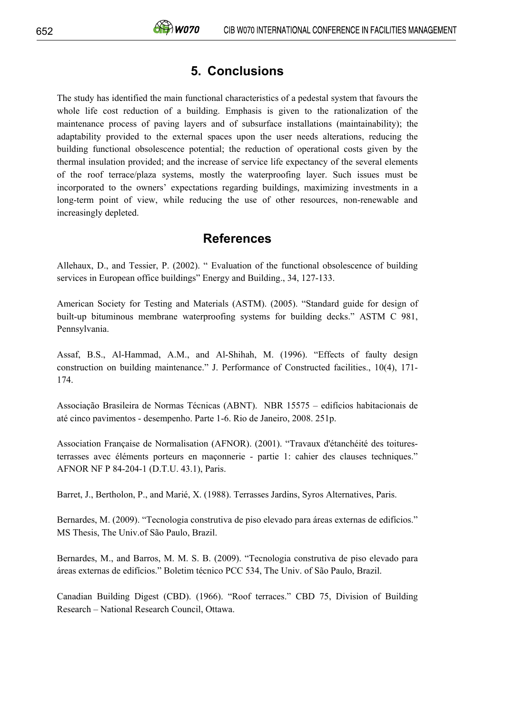# **5. Conclusions**

The study has identified the main functional characteristics of a pedestal system that favours the whole life cost reduction of a building. Emphasis is given to the rationalization of the maintenance process of paving layers and of subsurface installations (maintainability); the adaptability provided to the external spaces upon the user needs alterations, reducing the building functional obsolescence potential; the reduction of operational costs given by the thermal insulation provided; and the increase of service life expectancy of the several elements of the roof terrace/plaza systems, mostly the waterproofing layer. Such issues must be incorporated to the owners' expectations regarding buildings, maximizing investments in a long-term point of view, while reducing the use of other resources, non-renewable and increasingly depleted.

## **References**

Allehaux, D., and Tessier, P. (2002). " Evaluation of the functional obsolescence of building services in European office buildings" Energy and Building., 34, 127-133.

American Society for Testing and Materials (ASTM). (2005). "Standard guide for design of built-up bituminous membrane waterproofing systems for building decks." ASTM C 981, Pennsylvania.

Assaf, B.S., Al-Hammad, A.M., and Al-Shihah, M. (1996). "Effects of faulty design construction on building maintenance." J. Performance of Constructed facilities., 10(4), 171- 174.

Associação Brasileira de Normas Técnicas (ABNT). NBR 15575 – edifícios habitacionais de até cinco pavimentos - desempenho. Parte 1-6. Rio de Janeiro, 2008. 251p.

Association Française de Normalisation (AFNOR). (2001). "Travaux d'étanchéité des toituresterrasses avec éléments porteurs en maçonnerie - partie 1: cahier des clauses techniques." AFNOR NF P 84-204-1 (D.T.U. 43.1), Paris.

Barret, J., Bertholon, P., and Marié, X. (1988). Terrasses Jardins, Syros Alternatives, Paris.

Bernardes, M. (2009). "Tecnologia construtiva de piso elevado para áreas externas de edifícios." MS Thesis, The Univ.of São Paulo, Brazil.

Bernardes, M., and Barros, M. M. S. B. (2009). "Tecnologia construtiva de piso elevado para áreas externas de edifícios." Boletim técnico PCC 534, The Univ. of São Paulo, Brazil.

Canadian Building Digest (CBD). (1966). "Roof terraces." CBD 75, Division of Building Research – National Research Council, Ottawa.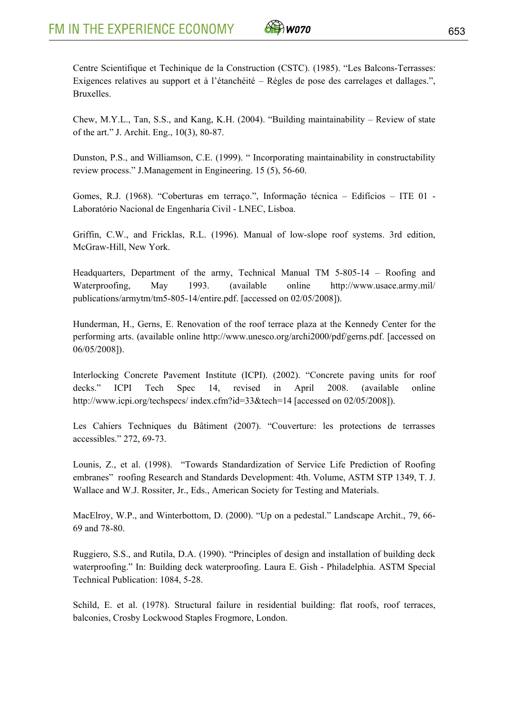

Centre Scientifique et Techinique de la Construction (CSTC). (1985). "Les Balcons-Terrasses: Exigences relatives au support et à l'étanchéité – Régles de pose des carrelages et dallages.", **Bruxelles** 

Chew, M.Y.L., Tan, S.S., and Kang, K.H. (2004). "Building maintainability – Review of state of the art." J. Archit. Eng., 10(3), 80-87.

Dunston, P.S., and Williamson, C.E. (1999). " Incorporating maintainability in constructability review process." J.Management in Engineering. 15 (5), 56-60.

Gomes, R.J. (1968). "Coberturas em terraço.", Informação técnica – Edifícios – ITE 01 - Laboratório Nacional de Engenharia Civil - LNEC, Lisboa.

Griffin, C.W., and Fricklas, R.L. (1996). Manual of low-slope roof systems. 3rd edition, McGraw-Hill, New York.

Headquarters, Department of the army, Technical Manual TM 5-805-14 – Roofing and Waterproofing, May 1993. (available online http://www.usace.army.mil/ publications/armytm/tm5-805-14/entire.pdf. [accessed on 02/05/2008]).

Hunderman, H., Gerns, E. Renovation of the roof terrace plaza at the Kennedy Center for the performing arts. (available online http://www.unesco.org/archi2000/pdf/gerns.pdf. [accessed on 06/05/2008]).

Interlocking Concrete Pavement Institute (ICPI). (2002). "Concrete paving units for roof decks." ICPI Tech Spec 14, revised in April 2008. (available online http://www.icpi.org/techspecs/ index.cfm?id=33&tech=14 [accessed on 02/05/2008]).

Les Cahiers Techniques du Bâtiment (2007). "Couverture: les protections de terrasses accessibles." 272, 69-73.

Lounis, Z., et al. (1998). "Towards Standardization of Service Life Prediction of Roofing embranes" roofing Research and Standards Development: 4th. Volume, ASTM STP 1349, T. J. Wallace and W.J. Rossiter, Jr., Eds., American Society for Testing and Materials.

MacElroy, W.P., and Winterbottom, D. (2000). "Up on a pedestal." Landscape Archit., 79, 66- 69 and 78-80.

Ruggiero, S.S., and Rutila, D.A. (1990). "Principles of design and installation of building deck waterproofing." In: Building deck waterproofing. Laura E. Gish - Philadelphia. ASTM Special Technical Publication: 1084, 5-28.

Schild, E. et al. (1978). Structural failure in residential building: flat roofs, roof terraces, balconies, Crosby Lockwood Staples Frogmore, London.